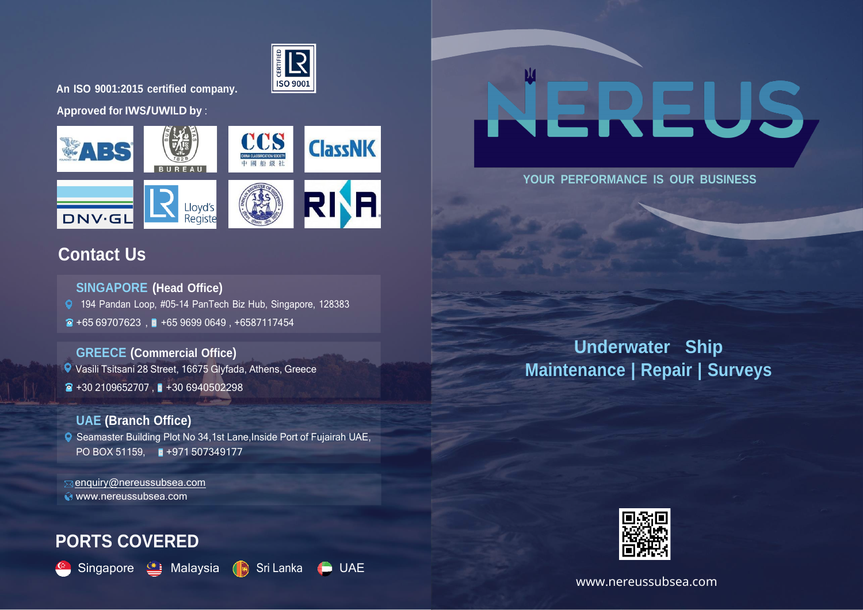

**An ISO 9001:2015 certified company.**

**Approved for IWS/UWILD by** :



## **Contact Us**

**SINGAPORE (Head Office)**

194 Pandan Loop, #05-14 PanTech Biz Hub, Singapore, 128383

 $\bullet$  +65 69707623 ,  $\bullet$  +65 9699 0649, +6587117454

**GREECE (Commercial Office)** Vasili Tsitsani 28 Street, 16675 Glyfada, Athens, Greece  $\bullet$  +30 2109652707,  $\bullet$  +30 6940502298

## **UAE (Branch Office)** Seamaster Building Plot No 34,1st Lane,Inside Port of Fujairah UAE, PO BOX 51159. +971 507349177

 [enquiry@nereussubsea.com](mailto:enquiry@nereussubsea.com) [www.nereussubsea.com](http://www.nereussubsea.com/)

# **PORTS COVERED**







## **YOUR PERFORMANCE IS OUR BUSINESS**

**Underwater Ship Maintenance | Repair | Surveys**



www.nereussubsea.com